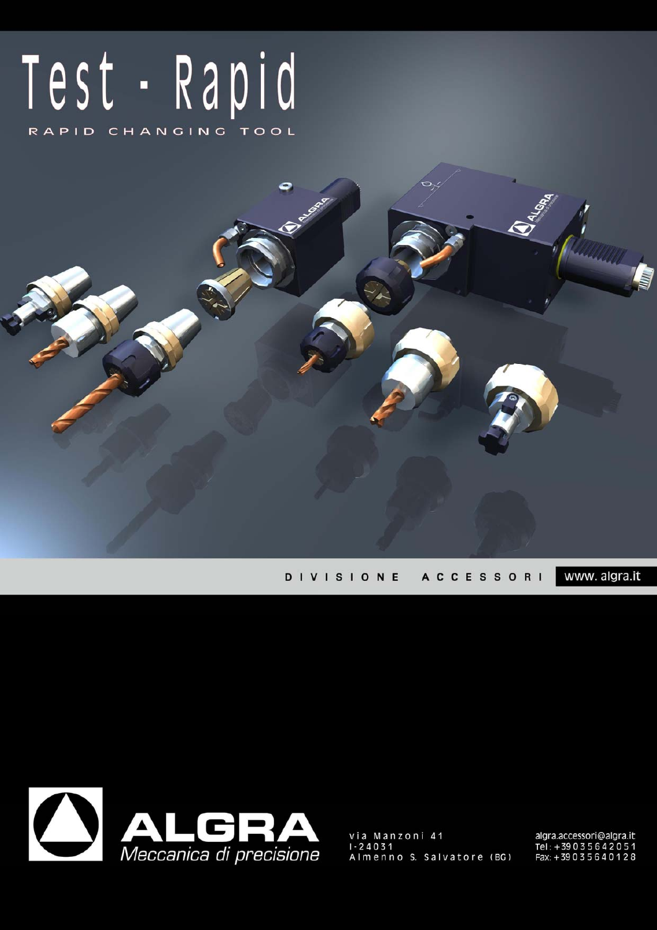# Test - Rapid RAPID CHANGING TOOL

www. algra.it **DIVISIONE ACCESSORI** 



via Manzoni 41<br>I-24031 Almenno S. Salvatore (BG) algra.accessori@algra.it<br>Tel : +39 0 3 5 6 4 2 0 5 1<br>Fax: +39 0 3 5 6 4 0 1 2 8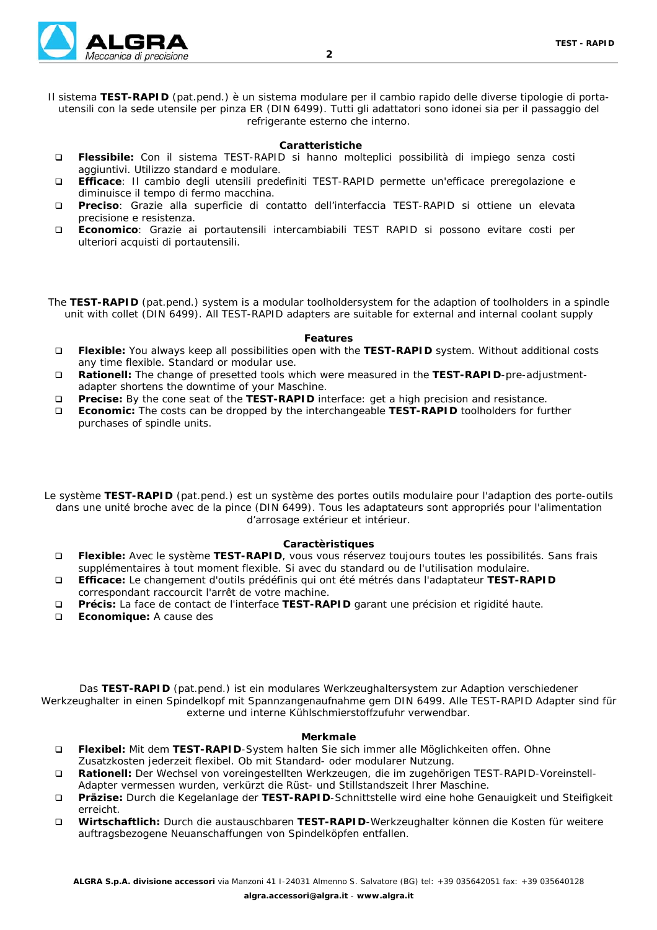

#### **Caratteristiche**

- **Flessibile:** Con il sistema TEST-RAPID si hanno molteplici possibilità di impiego senza costi aggiuntivi. Utilizzo standard e modulare.
- **Efficace**: Il cambio degli utensili predefiniti TEST-RAPID permette un'efficace preregolazione e diminuisce il tempo di fermo macchina.
- **Preciso**: Grazie alla superficie di contatto dell'interfaccia TEST-RAPID si ottiene un elevata precisione e resistenza.
- **Economico**: Grazie ai portautensili intercambiabili TEST RAPID si possono evitare costi per ulteriori acquisti di portautensili.

The **TEST-RAPID** (pat.pend.) system is a modular toolholdersystem for the adaption of toolholders in a spindle unit with collet (DIN 6499). All TEST-RAPID adapters are suitable for external and internal coolant supply

#### **Features**

- **Flexible:** You always keep all possibilities open with the **TEST-RAPID** system. Without additional costs any time flexible. Standard or modular use.
- **Rationell:** The change of presetted tools which were measured in the **TEST-RAPID**-pre-adjustmentadapter shortens the downtime of your Maschine.
- **Precise:** By the cone seat of the **TEST-RAPID** interface: get a high precision and resistance.
- **Economic:** The costs can be dropped by the interchangeable **TEST-RAPID** toolholders for further purchases of spindle units.
- Le système **TEST-RAPID** (pat.pend.) est un système des portes outils modulaire pour l'adaption des porte-outils dans une unité broche avec de la pince (DIN 6499). Tous les adaptateurs sont appropriés pour l'alimentation d'arrosage extérieur et intérieur.

#### **Caractèristiques**

- **Flexible:** Avec le système **TEST-RAPID**, vous vous réservez toujours toutes les possibilités. Sans frais supplémentaires à tout moment flexible. Si avec du standard ou de l'utilisation modulaire.
- **Efficace:** Le changement d'outils prédéfinis qui ont été métrés dans l'adaptateur **TEST-RAPID** correspondant raccourcit l'arrêt de votre machine.
- **Précis:** La face de contact de l'interface **TEST-RAPID** garant une précision et rigidité haute.
- **Economique:** A cause des

Das **TEST-RAPID** (pat.pend.) ist ein modulares Werkzeughaltersystem zur Adaption verschiedener Werkzeughalter in einen Spindelkopf mit Spannzangenaufnahme gem DIN 6499. Alle TEST-RAPID Adapter sind für externe und interne Kühlschmierstoffzufuhr verwendbar.

#### **Merkmale**

- **Flexibel:** Mit dem **TEST-RAPID**-System halten Sie sich immer alle Möglichkeiten offen. Ohne Zusatzkosten jederzeit flexibel. Ob mit Standard- oder modularer Nutzung.
- **Rationell:** Der Wechsel von voreingestellten Werkzeugen, die im zugehörigen TEST-RAPID-Voreinstell-Adapter vermessen wurden, verkürzt die Rüst- und Stillstandszeit Ihrer Maschine.
- **Präzise:** Durch die Kegelanlage der **TEST-RAPID**-Schnittstelle wird eine hohe Genauigkeit und Steifigkeit erreicht.
- **Wirtschaftlich:** Durch die austauschbaren **TEST-RAPID**-Werkzeughalter können die Kosten für weitere auftragsbezogene Neuanschaffungen von Spindelköpfen entfallen.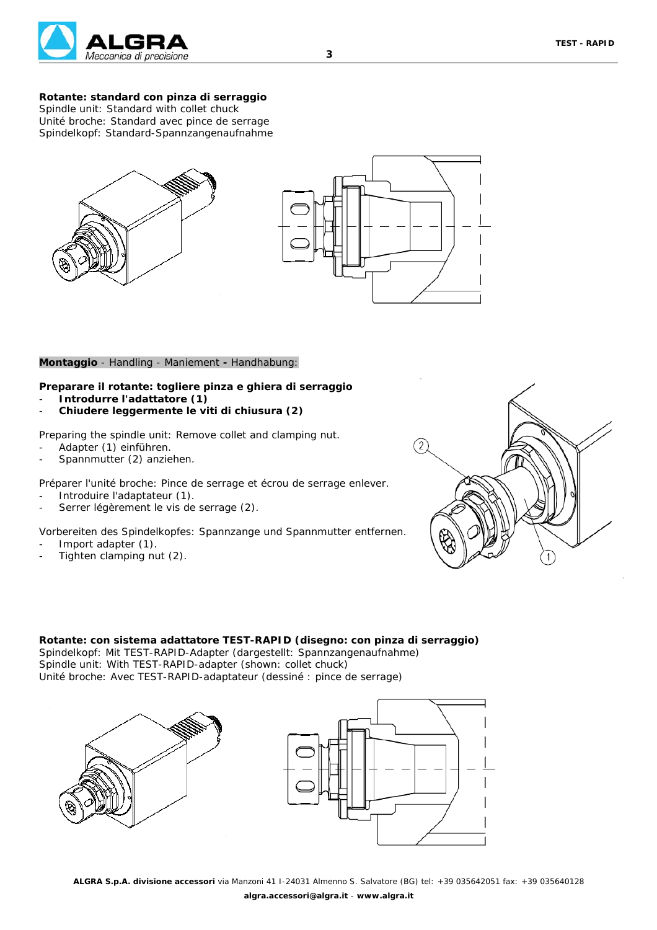

## **Rotante: standard con pinza di serraggio**

*Spindle unit: Standard with collet chuck Unité broche: Standard avec pince de serrage Spindelkopf: Standard-Spannzangenaufnahme*



#### **Montaggio** *- Handling - Maniement* **-** *Handhabung:*

#### **Preparare il rotante: togliere pinza e ghiera di serraggio**

- **Introdurre l'adattatore (1)**
- **Chiudere leggermente le viti di chiusura (2)**

*Preparing the spindle unit: Remove collet and clamping nut.*

- *Adapter (1) einführen.*
- *Spannmutter (2) anziehen.*

*Préparer l'unité broche: Pince de serrage et écrou de serrage enlever.*

- *Introduire l'adaptateur (1).*
- *Serrer légèrement le vis de serrage (2).*

*Vorbereiten des Spindelkopfes: Spannzange und Spannmutter entfernen.*

- *Import adapter (1).*
- *Tighten clamping nut (2).*



#### **Rotante: con sistema adattatore TEST-RAPID (disegno: con pinza di serraggio)** *Spindelkopf: Mit TEST-RAPID-Adapter (dargestellt: Spannzangenaufnahme)*

*Spindle unit: With TEST-RAPID-adapter (shown: collet chuck) Unité broche: Avec TEST-RAPID-adaptateur (dessiné : pince de serrage)*



**3**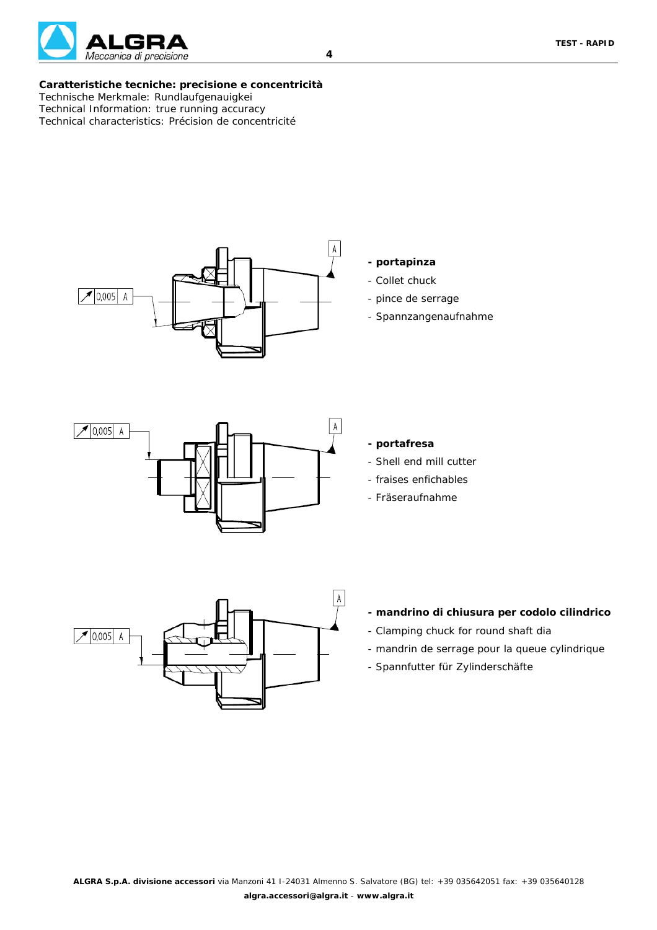

#### **Caratteristiche tecniche: precisione e concentricità** *Technische Merkmale: Rundlaufgenauigkei Technical Information: true running accuracy Technical characteristics: Précision de concentricité*



# **- portapinza**

- *Collet chuck*
- *pince de serrage*
- *Spannzangenaufnahme*



#### **- portafresa**

- *Shell end mill cutter*
- *fraises enfichables*
- *Fräseraufnahme*



## **- mandrino di chiusura per codolo cilindrico**

- *Clamping chuck for round shaft dia*
- *mandrin de serrage pour la queue cylindrique*
- *Spannfutter für Zylinderschäfte*

**4**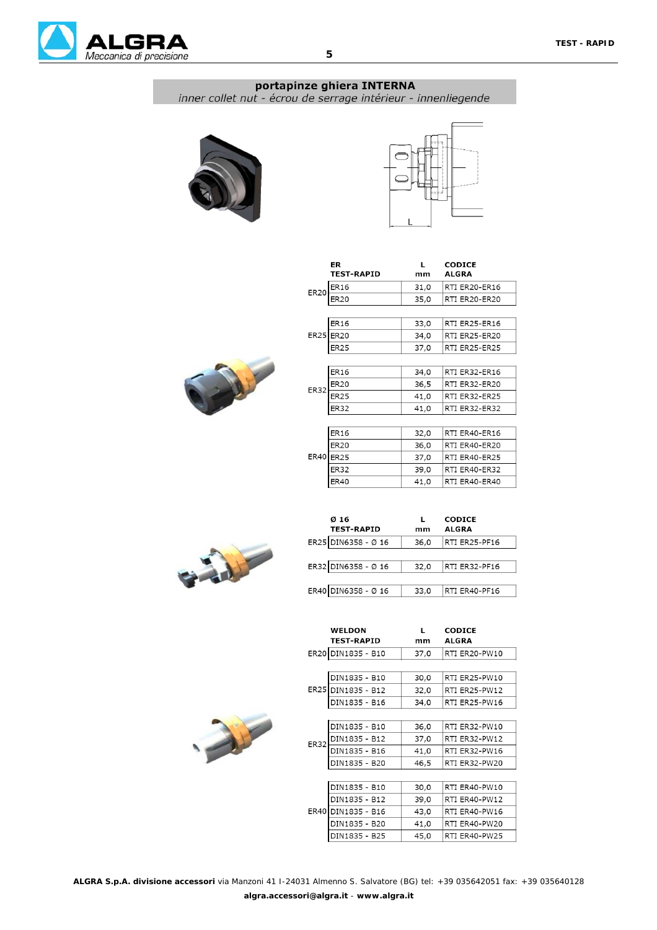

## portapinze ghiera INTERNA inner collet nut - écrou de serrage intérieur - innenliegende







|             | <b>ER</b><br><b>TEST-RAPID</b> | I.<br>mm | <b>CODICE</b><br><b>ALGRA</b> |
|-------------|--------------------------------|----------|-------------------------------|
| <b>ER20</b> | ER16                           | 31,0     | RTI ER20-ER16                 |
|             | ER20                           | 35,0     | RTI ER20-ER20                 |
|             |                                |          |                               |
|             | ER16                           | 33,0     | RTI ER25-ER16                 |
|             | ER25 ER20                      | 34,0     | RTI ER25-ER20                 |
|             | ER25                           | 37,0     | RTI ER25-ER25                 |
|             |                                |          |                               |
|             | ER16                           | 34,0     | RTI ER32-ER16                 |
| ER32        | <b>ER20</b>                    | 36,5     | RTI ER32-ER20                 |
|             | <b>ER25</b>                    | 41,0     | RTI ER32-ER25                 |
|             | ER32                           | 41,0     | RTI ER32-ER32                 |
|             |                                |          |                               |
|             | ER16                           | 32,0     | RTI ER40-ER16                 |
|             | ER20                           | 36,0     | RTI ER40-ER20                 |
|             | ER40 ER25                      | 37,0     | RTI ER40-ER25                 |
|             | ER32                           | 39,0     | RTI ER40-ER32                 |
|             | ER40                           | 41,0     | RTI ER40-ER40                 |



| Ø 16<br><b>TEST-RAPID</b> | mm   | <b>CODICE</b><br><b>ALGRA</b> |
|---------------------------|------|-------------------------------|
| ER25 DIN6358 - Ø 16       | 36,0 | RTI ER25-PF16                 |
| ER32 DIN6358 - Ø 16       | 32,0 | RTI ER32-PF16                 |
|                           |      |                               |
| ER40 DIN6358 - Ø 16       | 33,0 | RTI ER40-PF16                 |

|      | WELDON<br><b>TEST-RAPID</b> | L<br>mm | <b>CODICE</b><br><b>ALGRA</b> |
|------|-----------------------------|---------|-------------------------------|
|      | ER20 DIN1835 - B10          | 37,0    | RTI ER20-PW10                 |
|      |                             |         |                               |
|      | DIN1835 - B10               | 30,0    | RTI ER25-PW10                 |
|      | ER25 DIN1835 - B12          | 32,0    | RTI ER25-PW12                 |
|      | DIN1835 - B16               | 34,0    | RTI ER25-PW16                 |
|      |                             |         |                               |
|      | DIN1835 - B10               | 36,0    | RTI ER32-PW10                 |
| ER32 | DIN1835 - B12               | 37,0    | RTI ER32-PW12                 |
|      | DIN1835 - B16               | 41,0    | RTI ER32-PW16                 |
|      | DIN1835 - B20               | 46,5    | RTI ER32-PW20                 |
|      |                             |         |                               |
|      | DIN1835 - B10               | 30,0    | RTI ER40-PW10                 |
|      | DIN1835 - B12               | 39,0    | RTI ER40-PW12                 |
|      | ER40 DIN1835 - B16          | 43,0    | RTI ER40-PW16                 |
|      | DIN1835 - B20               | 41,0    | RTI ER40-PW20                 |
|      | DIN1835 - B25               | 45,0    | RTI ER40-PW25                 |

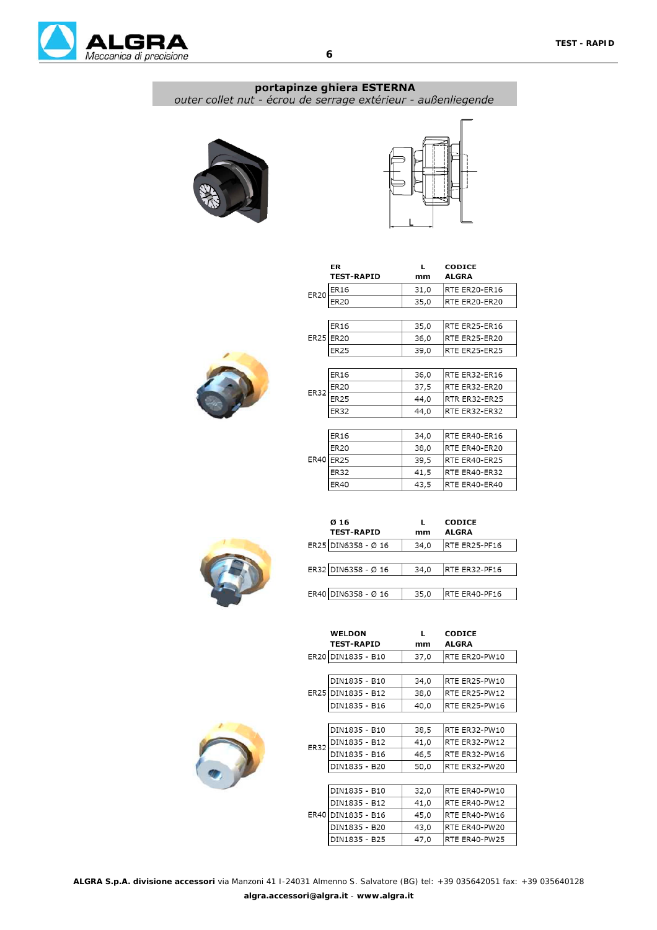

# portapinze ghiera ESTERNA

outer collet nut - écrou de serrage extérieur - außenliegende





 $\mathbf{L}$ 

 $mm$ 

CODICE

RTE ER20-ER16

RTE ER20-ER20

RTE ER25-ER16

RTE ER25-ER20

RTE ER25-ER25

RTE ER32-ER16 RTE ER32-ER20 RTR ER32-ER25 RTE ER32-ER32

RTE ER40-ER16 RTE ER40-ER20 RTE ER40-ER25

RTE ER40-ER32

RTE ER40-ER40

**ALGRA** 

| ER20 | ER16        | 31,0 |
|------|-------------|------|
|      | <b>ER20</b> | 35,0 |
|      |             |      |
|      | <b>ER16</b> | 35,0 |
|      | ER25 ER20   | 36,0 |
|      | <b>ER25</b> | 39,0 |
|      |             |      |
|      | <b>ER16</b> | 36,0 |
| ER32 | <b>ER20</b> | 37,5 |
|      | <b>ER25</b> | 44,0 |
|      | <b>ER32</b> | 44,0 |
|      |             |      |
|      | <b>ER16</b> | 34,0 |
|      | <b>FR20</b> | 38 O |

 $E$ R32

 $ER40$ 

ER

**TEST-RAPID** 

| <b>ER16</b>                | 36,0 |
|----------------------------|------|
| <b>ER20</b><br><b>ER32</b> | 37,5 |
| <b>ER25</b>                | 44,0 |
| <b>ER32</b>                | 44,0 |
|                            |      |
| ER16                       | 34,0 |
| <b>ER20</b>                | 38,0 |
| <b>ER40 ER25</b>           | 39,5 |

| Ø 16<br><b>TEST-RAPID</b> | mm   | <b>CODICE</b><br><b>ALGRA</b> |
|---------------------------|------|-------------------------------|
| ER25 DIN6358 - Ø 16       | 34.0 | RTE ER25-PF16                 |
|                           |      |                               |
| ER32 DIN6358 - Ø 16       | 34,0 | RTE ER32-PF16                 |
|                           |      |                               |
| ER40 DIN6358 - Ø 16       | 35,0 | RTE ER40-PF16                 |

 $41,5$ 

 $43,5$ 

| ER20 DIN1835 - B10<br>RTE ER20-PW10<br>37,0<br>DIN1835 - B10<br>34,0<br>RTE ER25-PW10<br>ER25 DIN1835 - B12<br>38,0<br>RTE ER25-PW12<br>DIN1835 - B16<br>40,0<br>RTE ER25-PW16<br>DIN1835 - B10<br>38,5<br>RTE ER32-PW10<br>DIN1835 - B12<br>41,0<br>RTE ER32-PW12<br>ER32<br>DIN1835 - B16<br>46,5<br>RTE ER32-PW16<br>DIN1835 - B20<br>50,0<br>RTE ER32-PW20<br>DIN1835 - B10<br>32,0<br>RTE ER40-PW10<br>DIN1835 - B12<br>RTE ER40-PW12<br>41,0<br><b>ER40</b><br>DIN1835 - B16<br>45,0<br>RTE ER40-PW16 |  | <b>WELDON</b><br><b>TEST-RAPID</b> | L.<br>mm | <b>CODICE</b><br><b>ALGRA</b> |  |
|-------------------------------------------------------------------------------------------------------------------------------------------------------------------------------------------------------------------------------------------------------------------------------------------------------------------------------------------------------------------------------------------------------------------------------------------------------------------------------------------------------------|--|------------------------------------|----------|-------------------------------|--|
|                                                                                                                                                                                                                                                                                                                                                                                                                                                                                                             |  |                                    |          |                               |  |
|                                                                                                                                                                                                                                                                                                                                                                                                                                                                                                             |  |                                    |          |                               |  |
|                                                                                                                                                                                                                                                                                                                                                                                                                                                                                                             |  |                                    |          |                               |  |
|                                                                                                                                                                                                                                                                                                                                                                                                                                                                                                             |  |                                    |          |                               |  |
|                                                                                                                                                                                                                                                                                                                                                                                                                                                                                                             |  |                                    |          |                               |  |
|                                                                                                                                                                                                                                                                                                                                                                                                                                                                                                             |  |                                    |          |                               |  |
|                                                                                                                                                                                                                                                                                                                                                                                                                                                                                                             |  |                                    |          |                               |  |
|                                                                                                                                                                                                                                                                                                                                                                                                                                                                                                             |  |                                    |          |                               |  |
|                                                                                                                                                                                                                                                                                                                                                                                                                                                                                                             |  |                                    |          |                               |  |
|                                                                                                                                                                                                                                                                                                                                                                                                                                                                                                             |  |                                    |          |                               |  |
|                                                                                                                                                                                                                                                                                                                                                                                                                                                                                                             |  |                                    |          |                               |  |
|                                                                                                                                                                                                                                                                                                                                                                                                                                                                                                             |  |                                    |          |                               |  |
|                                                                                                                                                                                                                                                                                                                                                                                                                                                                                                             |  |                                    |          |                               |  |
|                                                                                                                                                                                                                                                                                                                                                                                                                                                                                                             |  |                                    |          |                               |  |
|                                                                                                                                                                                                                                                                                                                                                                                                                                                                                                             |  | DIN1835 - B20                      | 43,0     | RTE ER40-PW20                 |  |
| DIN1835 - B25<br>47,0<br>RTE ER40-PW25                                                                                                                                                                                                                                                                                                                                                                                                                                                                      |  |                                    |          |                               |  |